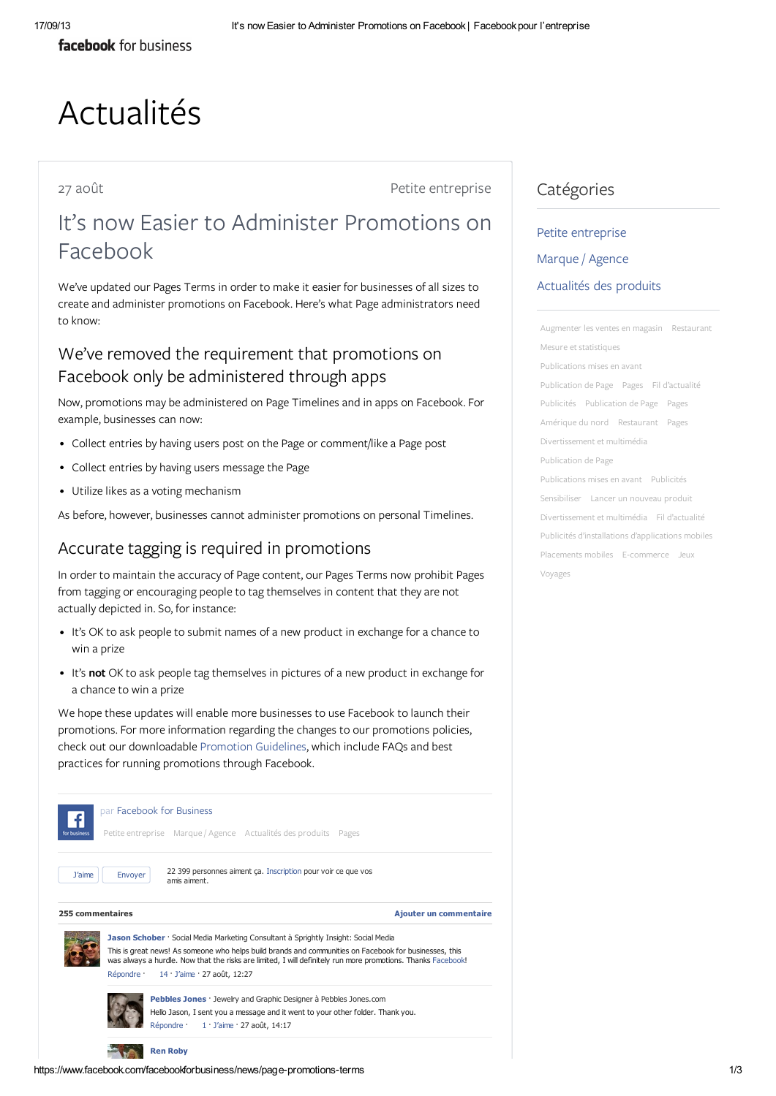facebook for business

# Actualités

27 août entreprise

## It's now Easier to Administer Promotions on Facebook

We've updated our Pages [Terms](https://www.facebook.com/page_guidelines.php) in order to make it easier for businesses of all sizes to create and administer promotions on Facebook. Here's what Page administrators need to know:

### We've removed the requirement that promotions on Facebook only be administered through apps

Now, promotions may be administered on Page Timelines and in apps on Facebook. For example, businesses can now:

- Collect entries by having users post on the Page or comment/like a Page post
- Collect entries by having users message the Page
- Utilize likes as a voting mechanism

As before, however, businesses cannot administer promotions on personal Timelines.

#### Accurate tagging is required in promotions

In order to maintain the accuracy of Page content, our Pages Terms now prohibit Pages from tagging or encouraging people to tag themselves in content that they are not actually depicted in. So, for instance:

- It's OK to ask people to submit names of a new product in exchange for a chance to win a prize
- It's not OK to ask people tag themselves in pictures of a new product in exchange for a chance to win a prize

We hope these updates will enable more businesses to use Facebook to launch their promotions. For more information regarding the changes to our promotions policies, check out our downloadable [Promotion](https://fbcdn-dragon-a.akamaihd.net/hphotos-ak-ash3/851577_158705844322839_2031667568_n.pdf) Guidelines, which include FAQs and best practices for running promotions through Facebook.



#### Catégories

## Petite [entreprise](https://www.facebook.com/facebookforbusiness/news?tag=small-business) [Marque](https://www.facebook.com/facebookforbusiness/news?tag=brand-agency) / Agence [Actualités](https://www.facebook.com/facebookforbusiness/news?tag=product-news) des produits

[Augmenter](https://www.facebook.com/facebookforbusiness/news?tag=drive-in-store-sales) les ventes en magasin [Restaurant](https://www.facebook.com/facebookforbusiness/news?tag=restaurant) Mesure et [statistiques](https://www.facebook.com/facebookforbusiness/news?tag=measurement) [Publications](https://www.facebook.com/facebookforbusiness/news?tag=promoted-posts) mises en avant [Publication](https://www.facebook.com/facebookforbusiness/news?tag=page-publishing) de Page [Pages](https://www.facebook.com/facebookforbusiness/news?tag=pages) Fil [d'actualité](https://www.facebook.com/facebookforbusiness/news?tag=news-feed) [Publicités](https://www.facebook.com/facebookforbusiness/news?tag=ads) [Publication](https://www.facebook.com/facebookforbusiness/news?tag=page-publishing) de Page [Pages](https://www.facebook.com/facebookforbusiness/news?tag=pages) [Amérique](https://www.facebook.com/facebookforbusiness/news?tag=noam) du nord [Restaurant](https://www.facebook.com/facebookforbusiness/news?tag=restaurant) [Pages](https://www.facebook.com/facebookforbusiness/news?tag=pages) [Divertissement](https://www.facebook.com/facebookforbusiness/news?tag=entertainment) et multimédia [Publication](https://www.facebook.com/facebookforbusiness/news?tag=page-publishing) de Page [Publications](https://www.facebook.com/facebookforbusiness/news?tag=promoted-posts) mises en avant [Publicités](https://www.facebook.com/facebookforbusiness/news?tag=ads) [Sensibiliser](https://www.facebook.com/facebookforbusiness/news?tag=build-awareness) Lancer un [nouveau](https://www.facebook.com/facebookforbusiness/news?tag=launch-new-product) produit [Divertissement](https://www.facebook.com/facebookforbusiness/news?tag=entertainment) et multimédia Fil [d'actualité](https://www.facebook.com/facebookforbusiness/news?tag=news-feed) Publicités d'installations [d'applications](https://www.facebook.com/facebookforbusiness/news?tag=mobile-app-install) mobiles [Placements](https://www.facebook.com/facebookforbusiness/news?tag=mobile-placements) mobiles [E-commerce](https://www.facebook.com/facebookforbusiness/news?tag=ecommerce) [Jeux](https://www.facebook.com/facebookforbusiness/news?tag=gaming) [Voyages](https://www.facebook.com/facebookforbusiness/news?tag=travel)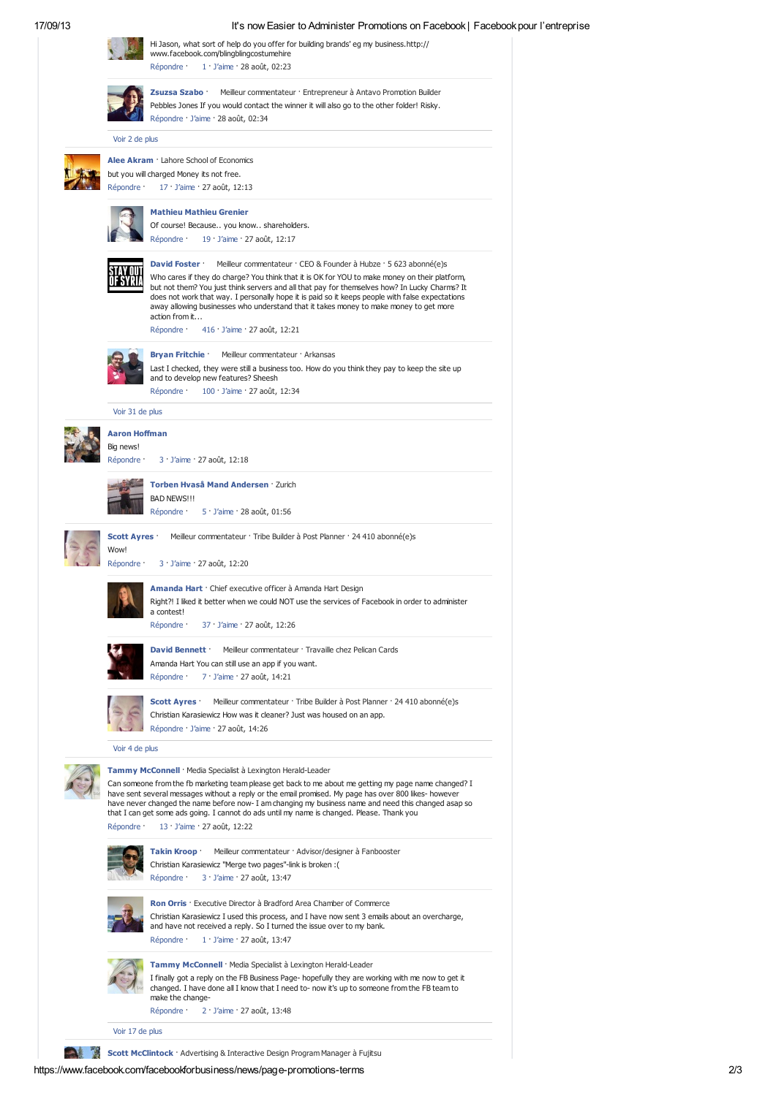#### 17/09/13 It's now Easier to Administer Promotions on Facebook | Facebook pour l'entreprise

|  |                                                                                                                                                                                                                                                                                                                                                                                                                                                                                                                                    | Hi Jason, what sort of help do you offer for building brands' eg my business. http://<br>www.facebook.com/blingblingcostumehire<br>Répondre ·<br>$1 \cdot$ J'aime $\cdot$ 28 août, 02:23                                                                                                                                                                                                                                                                                                                                                                    |  |  |
|--|------------------------------------------------------------------------------------------------------------------------------------------------------------------------------------------------------------------------------------------------------------------------------------------------------------------------------------------------------------------------------------------------------------------------------------------------------------------------------------------------------------------------------------|-------------------------------------------------------------------------------------------------------------------------------------------------------------------------------------------------------------------------------------------------------------------------------------------------------------------------------------------------------------------------------------------------------------------------------------------------------------------------------------------------------------------------------------------------------------|--|--|
|  |                                                                                                                                                                                                                                                                                                                                                                                                                                                                                                                                    | Zsuzsa Szabo ·<br>Meilleur commentateur · Entrepreneur à Antavo Promotion Builder<br>Pebbles Jones If you would contact the winner it will also go to the other folder! Risky.<br>Répondre · J'aime · 28 août, 02:34                                                                                                                                                                                                                                                                                                                                        |  |  |
|  | Voir 2 de plus                                                                                                                                                                                                                                                                                                                                                                                                                                                                                                                     |                                                                                                                                                                                                                                                                                                                                                                                                                                                                                                                                                             |  |  |
|  | Répondre ·                                                                                                                                                                                                                                                                                                                                                                                                                                                                                                                         | Alee Akram : Lahore School of Economics<br>but you will charged Money its not free.<br>$17 \cdot$ J'aime $\cdot$ 27 août, 12:13                                                                                                                                                                                                                                                                                                                                                                                                                             |  |  |
|  |                                                                                                                                                                                                                                                                                                                                                                                                                                                                                                                                    | <b>Mathieu Mathieu Grenier</b><br>Of course! Because you know shareholders.<br>Répondre ·<br>$19 \cdot$ J'aime $\cdot$ 27 août, 12:17                                                                                                                                                                                                                                                                                                                                                                                                                       |  |  |
|  |                                                                                                                                                                                                                                                                                                                                                                                                                                                                                                                                    | David Foster<br>Meilleur commentateur · CEO & Founder à Hubze · 5 623 abonné(e)s<br>Who cares if they do charge? You think that it is OK for YOU to make money on their platform,<br>but not them? You just think servers and all that pay for themselves how? In Lucky Charms? It<br>does not work that way. I personally hope it is paid so it keeps people with false expectations<br>away allowing businesses who understand that it takes money to make money to get more<br>action from it<br>Répondre ·<br>$416 \cdot$ J'aime $\cdot$ 27 août, 12:21 |  |  |
|  |                                                                                                                                                                                                                                                                                                                                                                                                                                                                                                                                    | <b>Bryan Fritchie</b><br>Meilleur commentateur · Arkansas<br>Last I checked, they were still a business too. How do you think they pay to keep the site up<br>and to develop new features? Sheesh<br>Répondre ·<br>100 · J'aime · 27 août, 12:34                                                                                                                                                                                                                                                                                                            |  |  |
|  | Voir 31 de plus                                                                                                                                                                                                                                                                                                                                                                                                                                                                                                                    |                                                                                                                                                                                                                                                                                                                                                                                                                                                                                                                                                             |  |  |
|  | Aaron Hoffman                                                                                                                                                                                                                                                                                                                                                                                                                                                                                                                      |                                                                                                                                                                                                                                                                                                                                                                                                                                                                                                                                                             |  |  |
|  | Big news!<br>Répondre ·                                                                                                                                                                                                                                                                                                                                                                                                                                                                                                            | $3 \cdot$ J'aime $\cdot$ 27 août, 12:18                                                                                                                                                                                                                                                                                                                                                                                                                                                                                                                     |  |  |
|  |                                                                                                                                                                                                                                                                                                                                                                                                                                                                                                                                    | Torben Hvaså Mand Andersen · Zurich<br><b>BAD NEWS!!!</b><br>Répondre ·<br>5 · J'aime · 28 août, 01:56                                                                                                                                                                                                                                                                                                                                                                                                                                                      |  |  |
|  |                                                                                                                                                                                                                                                                                                                                                                                                                                                                                                                                    |                                                                                                                                                                                                                                                                                                                                                                                                                                                                                                                                                             |  |  |
|  | <b>Scott Ayres :</b><br>Wow!<br>Répondre ·                                                                                                                                                                                                                                                                                                                                                                                                                                                                                         | Meilleur commentateur · Tribe Builder à Post Planner · 24 410 abonné(e)s<br>3 · J'aime · 27 août, 12:20                                                                                                                                                                                                                                                                                                                                                                                                                                                     |  |  |
|  |                                                                                                                                                                                                                                                                                                                                                                                                                                                                                                                                    | <b>Amanda Hart</b> · Chief executive officer à Amanda Hart Design<br>Right?! I liked it better when we could NOT use the services of Facebook in order to administer<br>a contest!<br>37 J'aime · 27 août, 12:26<br>Répondre ·                                                                                                                                                                                                                                                                                                                              |  |  |
|  |                                                                                                                                                                                                                                                                                                                                                                                                                                                                                                                                    | David Bennett ·<br>Meilleur commentateur : Travaille chez Pelican Cards<br>Amanda Hart You can still use an app if you want.<br>Répondre ·<br>7 · J'aime · 27 août, 14:21                                                                                                                                                                                                                                                                                                                                                                                   |  |  |
|  |                                                                                                                                                                                                                                                                                                                                                                                                                                                                                                                                    | <b>Scott Ayres</b><br>Meilleur commentateur · Tribe Builder à Post Planner · 24 410 abonné(e)s<br>Christian Karasiewicz How was it cleaner? Just was housed on an app.<br>Répondre · J'aime · 27 août, 14:26                                                                                                                                                                                                                                                                                                                                                |  |  |
|  | Voir 4 de plus                                                                                                                                                                                                                                                                                                                                                                                                                                                                                                                     |                                                                                                                                                                                                                                                                                                                                                                                                                                                                                                                                                             |  |  |
|  | Tammy McConnell · Media Specialist à Lexington Herald-Leader<br>Can someone from the fb marketing team please get back to me about me getting my page name changed? I<br>have sent several messages without a reply or the email promised. My page has over 800 likes- however<br>have never changed the name before now- I am changing my business name and need this changed asap so<br>that I can get some ads going. I cannot do ads until my name is changed. Please. Thank you<br>Répondre ·<br>13 · J'aime · 27 août, 12:22 |                                                                                                                                                                                                                                                                                                                                                                                                                                                                                                                                                             |  |  |
|  |                                                                                                                                                                                                                                                                                                                                                                                                                                                                                                                                    | Takin Kroop ·<br>Meilleur commentateur · Advisor/designer à Fanbooster<br>Christian Karasiewicz "Merge two pages"-link is broken : (<br>Répondre ·<br>3 J'aime · 27 août, 13:47                                                                                                                                                                                                                                                                                                                                                                             |  |  |
|  |                                                                                                                                                                                                                                                                                                                                                                                                                                                                                                                                    | <b>Ron Orris</b> : Executive Director à Bradford Area Chamber of Commerce<br>Christian Karasiewicz I used this process, and I have now sent 3 emails about an overcharge,<br>and have not received a reply. So I turned the issue over to my bank.<br>Répondre ·<br>$1 \cdot$ J'aime $\cdot$ 27 août, 13:47                                                                                                                                                                                                                                                 |  |  |
|  |                                                                                                                                                                                                                                                                                                                                                                                                                                                                                                                                    | Tammy McConnell · Media Specialist à Lexington Herald-Leader<br>I finally got a reply on the FB Business Page- hopefully they are working with me now to get it<br>changed. I have done all I know that I need to- now it's up to someone from the FB team to<br>make the change-<br>Répondre ·<br>2 · J'aime · 27 août, 13:48                                                                                                                                                                                                                              |  |  |
|  |                                                                                                                                                                                                                                                                                                                                                                                                                                                                                                                                    |                                                                                                                                                                                                                                                                                                                                                                                                                                                                                                                                                             |  |  |
|  | Voir 17 de plus                                                                                                                                                                                                                                                                                                                                                                                                                                                                                                                    |                                                                                                                                                                                                                                                                                                                                                                                                                                                                                                                                                             |  |  |

Scott McClintock · [Advertising](https://www.facebook.com/pages/Advertising-Interactive-Design-Program-Manager/215972038429486) & Interactive Design Program Manager à [Fujitsu](https://www.facebook.com/pages/Fujitsu/109256905760858)